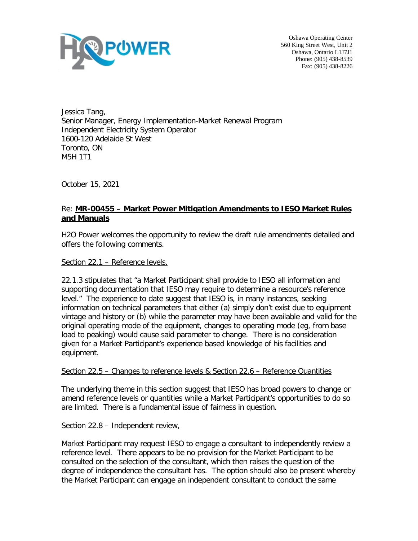

Oshawa Operating Center 560 King Street West, Unit 2 Oshawa, Ontario L1J7J1 Phone: (905) 438-8539 Fax: (905) 438-8226

Jessica Tang, Senior Manager, Energy Implementation-Market Renewal Program Independent Electricity System Operator 1600-120 Adelaide St West Toronto, ON M5H 1T1

October 15, 2021

## Re: **MR-00455 – Market Power Mitigation Amendments to IESO Market Rules and Manuals**

H2O Power welcomes the opportunity to review the draft rule amendments detailed and offers the following comments.

Section 22.1 – Reference levels.

22.1.3 stipulates that "a Market Participant shall provide to IESO all information and supporting documentation that IESO may require to determine a resource's reference level." The experience to date suggest that IESO is, in many instances, seeking information on technical parameters that either (a) simply don't exist due to equipment vintage and history or (b) while the parameter may have been available and valid for the original operating mode of the equipment, changes to operating mode (eg, from base load to peaking) would cause said parameter to change. There is no consideration given for a Market Participant's experience based knowledge of his facilities and equipment.

## Section 22.5 – Changes to reference levels & Section 22.6 – Reference Quantities

The underlying theme in this section suggest that IESO has broad powers to change or amend reference levels or quantities while a Market Participant's opportunities to do so are limited. There is a fundamental issue of fairness in question.

## Section 22.8 – Independent review,

Market Participant may request IESO to engage a consultant to independently review a reference level. There appears to be no provision for the Market Participant to be consulted on the selection of the consultant, which then raises the question of the degree of independence the consultant has. The option should also be present whereby the Market Participant can engage an independent consultant to conduct the same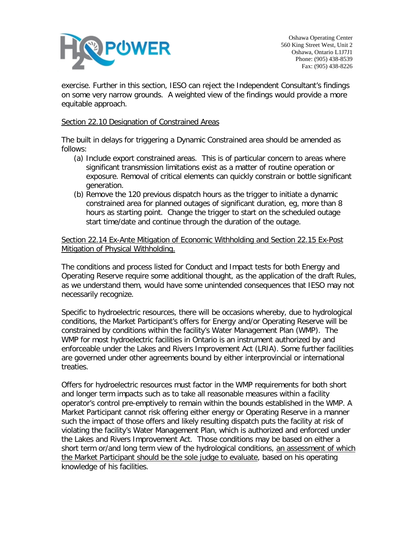

exercise. Further in this section, IESO can reject the Independent Consultant's findings on some very narrow grounds. A weighted view of the findings would provide a more equitable approach.

## Section 22.10 Designation of Constrained Areas

The built in delays for triggering a Dynamic Constrained area should be amended as follows:

- (a) Include export constrained areas. This is of particular concern to areas where significant transmission limitations exist as a matter of routine operation or exposure. Removal of critical elements can quickly constrain or bottle significant generation.
- (b) Remove the 120 previous dispatch hours as the trigger to initiate a dynamic constrained area for planned outages of significant duration, eg, more than 8 hours as starting point. Change the trigger to start on the scheduled outage start time/date and continue through the duration of the outage.

Section 22.14 Ex-Ante Mitigation of Economic Withholding and Section 22.15 Ex-Post Mitigation of Physical Withholding.

The conditions and process listed for Conduct and Impact tests for both Energy and Operating Reserve require some additional thought, as the application of the draft Rules, as we understand them, would have some unintended consequences that IESO may not necessarily recognize.

Specific to hydroelectric resources, there will be occasions whereby, due to hydrological conditions, the Market Participant's offers for Energy and/or Operating Reserve will be constrained by conditions within the facility's Water Management Plan (WMP). The WMP for most hydroelectric facilities in Ontario is an instrument authorized by and enforceable under the Lakes and Rivers Improvement Act (LRIA). Some further facilities are governed under other agreements bound by either interprovincial or international treaties.

Offers for hydroelectric resources must factor in the WMP requirements for both short and longer term impacts such as to take all reasonable measures within a facility operator's control pre-emptively to remain within the bounds established in the WMP. A Market Participant cannot risk offering either energy or Operating Reserve in a manner such the impact of those offers and likely resulting dispatch puts the facility at risk of violating the facility's Water Management Plan, which is authorized and enforced under the Lakes and Rivers Improvement Act. Those conditions may be based on either a short term or/and long term view of the hydrological conditions, an assessment of which the Market Participant should be the sole judge to evaluate, based on his operating knowledge of his facilities.